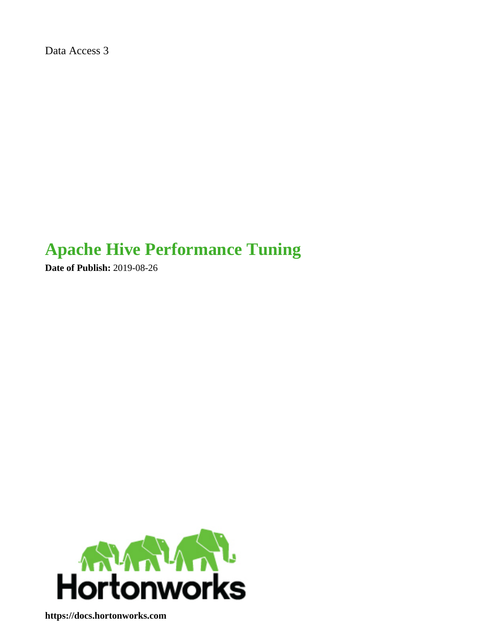Data Access 3

# **Apache Hive Performance Tuning**

**Date of Publish:** 2019-08-26



**<https://docs.hortonworks.com>**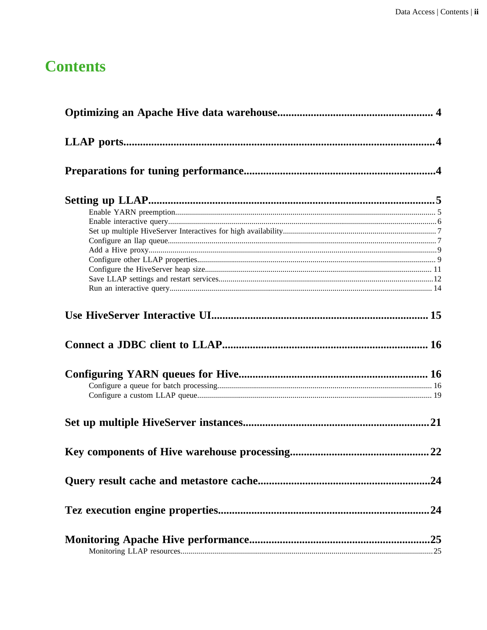## **Contents**

| .24 |
|-----|
|     |
|     |
| 24  |
|     |
|     |
|     |
|     |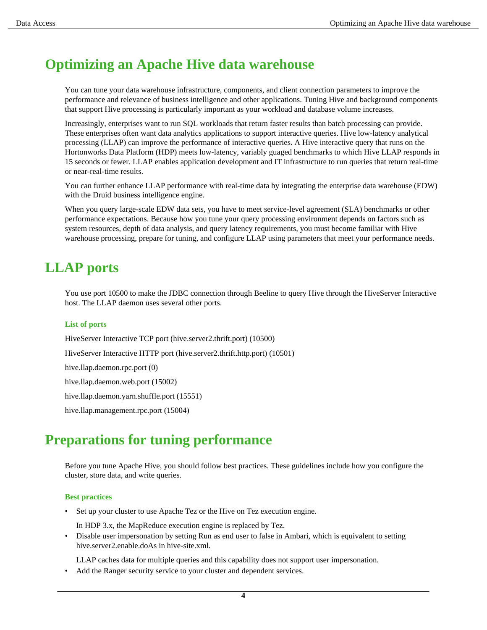## <span id="page-3-0"></span>**Optimizing an Apache Hive data warehouse**

You can tune your data warehouse infrastructure, components, and client connection parameters to improve the performance and relevance of business intelligence and other applications. Tuning Hive and background components that support Hive processing is particularly important as your workload and database volume increases.

Increasingly, enterprises want to run SQL workloads that return faster results than batch processing can provide. These enterprises often want data analytics applications to support interactive queries. Hive low-latency analytical processing (LLAP) can improve the performance of interactive queries. A Hive interactive query that runs on the Hortonworks Data Platform (HDP) meets low-latency, variably guaged benchmarks to which Hive LLAP responds in 15 seconds or fewer. LLAP enables application development and IT infrastructure to run queries that return real-time or near-real-time results.

You can further enhance LLAP performance with real-time data by integrating the enterprise data warehouse (EDW) with the Druid business intelligence engine.

When you query large-scale EDW data sets, you have to meet service-level agreement (SLA) benchmarks or other performance expectations. Because how you tune your query processing environment depends on factors such as system resources, depth of data analysis, and query latency requirements, you must become familiar with Hive warehouse processing, prepare for tuning, and configure LLAP using parameters that meet your performance needs.

## <span id="page-3-1"></span>**LLAP ports**

You use port 10500 to make the JDBC connection through Beeline to query Hive through the HiveServer Interactive host. The LLAP daemon uses several other ports.

#### **List of ports**

HiveServer Interactive TCP port (hive.server2.thrift.port) (10500) HiveServer Interactive HTTP port (hive.server2.thrift.http.port) (10501) hive.llap.daemon.rpc.port (0) hive.llap.daemon.web.port (15002) hive.llap.daemon.yarn.shuffle.port (15551) hive.llap.management.rpc.port (15004)

## <span id="page-3-2"></span>**Preparations for tuning performance**

Before you tune Apache Hive, you should follow best practices. These guidelines include how you configure the cluster, store data, and write queries.

#### **Best practices**

- Set up your cluster to use Apache Tez or the Hive on Tez execution engine.
	- In HDP 3.x, the MapReduce execution engine is replaced by Tez.
- Disable user impersonation by setting Run as end user to false in Ambari, which is equivalent to setting hive.server2.enable.doAs in hive-site.xml.

LLAP caches data for multiple queries and this capability does not support user impersonation.

Add the Ranger security service to your cluster and dependent services.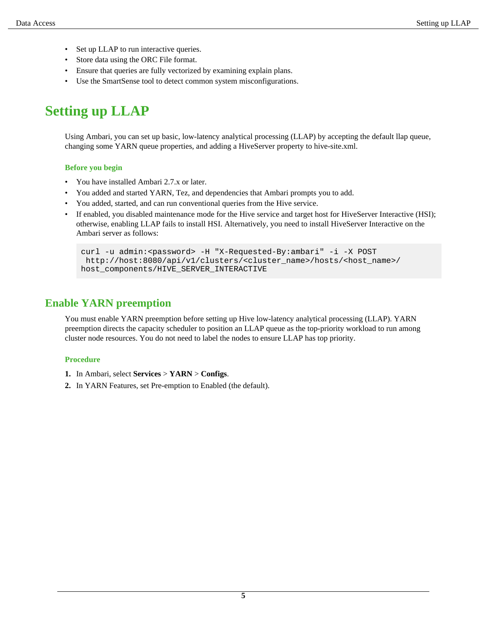- Set up LLAP to run interactive queries.
- Store data using the ORC File format.
- Ensure that queries are fully vectorized by examining explain plans.
- Use the SmartSense tool to detect common system misconfigurations.

## <span id="page-4-0"></span>**Setting up LLAP**

Using Ambari, you can set up basic, low-latency analytical processing (LLAP) by accepting the default llap queue, changing some YARN queue properties, and adding a HiveServer property to hive-site.xml.

### **Before you begin**

- You have installed Ambari 2.7.x or later.
- You added and started YARN, Tez, and dependencies that Ambari prompts you to add.
- You added, started, and can run conventional queries from the Hive service.
- If enabled, you disabled maintenance mode for the Hive service and target host for HiveServer Interactive (HSI); otherwise, enabling LLAP fails to install HSI. Alternatively, you need to install HiveServer Interactive on the Ambari server as follows:

```
curl -u admin:<password> -H "X-Requested-By:ambari" -i -X POST
 http://host:8080/api/v1/clusters/<cluster_name>/hosts/<host_name>/
host_components/HIVE_SERVER_INTERACTIVE
```
## <span id="page-4-1"></span>**Enable YARN preemption**

You must enable YARN preemption before setting up Hive low-latency analytical processing (LLAP). YARN preemption directs the capacity scheduler to position an LLAP queue as the top-priority workload to run among cluster node resources. You do not need to label the nodes to ensure LLAP has top priority.

### **Procedure**

- **1.** In Ambari, select **Services** > **YARN** > **Configs**.
- **2.** In YARN Features, set Pre-emption to Enabled (the default).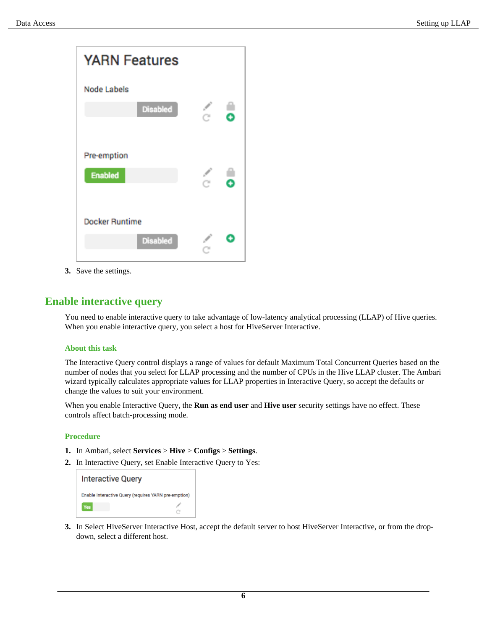

**3.** Save the settings.

### <span id="page-5-0"></span>**Enable interactive query**

You need to enable interactive query to take advantage of low-latency analytical processing (LLAP) of Hive queries. When you enable interactive query, you select a host for HiveServer Interactive.

### **About this task**

The Interactive Query control displays a range of values for default Maximum Total Concurrent Queries based on the number of nodes that you select for LLAP processing and the number of CPUs in the Hive LLAP cluster. The Ambari wizard typically calculates appropriate values for LLAP properties in Interactive Query, so accept the defaults or change the values to suit your environment.

When you enable Interactive Query, the **Run as end user** and **Hive user** security settings have no effect. These controls affect batch-processing mode.

### **Procedure**

- **1.** In Ambari, select **Services** > **Hive** > **Configs** > **Settings**.
- **2.** In Interactive Query, set Enable Interactive Query to Yes:



**3.** In Select HiveServer Interactive Host, accept the default server to host HiveServer Interactive, or from the dropdown, select a different host.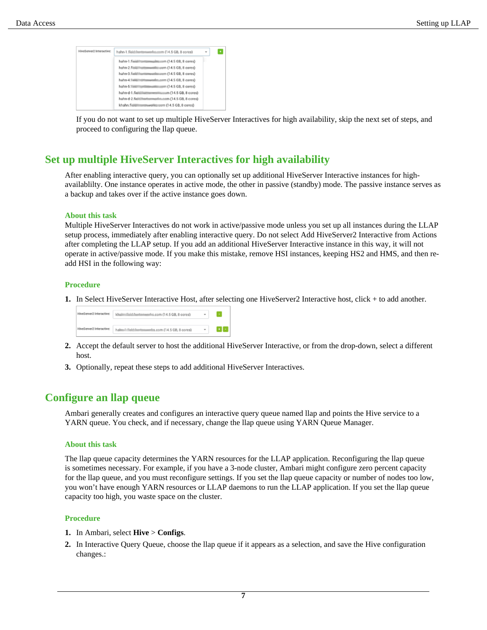| HiveServer2 Interactive: | hahn-1.field://www.weeks.com (14.5 GB, 8 cores)       | ۰ |  |
|--------------------------|-------------------------------------------------------|---|--|
|                          | hahn-1.fieidiffuntumeglistcom (14.5 GB, 8 cores)      |   |  |
|                          | hahn-2.fleidiffromovallat.com (14.5 GB, 8 cores)      |   |  |
|                          | hahn-3.familian.com collection (14.5 GB, 8 cores)     |   |  |
|                          | hahn-4.fiviliti til tunwerkn.com (14.5 GB, 8 cores)   |   |  |
|                          | hahn-5.7 entr antibitionality comm (14.5 GB, 8 cores) |   |  |
|                          | hahn-d-1.fieldittumwalkuzum (14.5 GB, 8 cores)        |   |  |
|                          | hahn-d-2.field:frantonwarlin.com (14.5 GB, 8 cores)   |   |  |
|                          | khahn.fig.com conversation (14.5 GB, 8 cores)         |   |  |

If you do not want to set up multiple HiveServer Interactives for high availability, skip the next set of steps, and proceed to configuring the llap queue.

### <span id="page-6-0"></span>**Set up multiple HiveServer Interactives for high availability**

After enabling interactive query, you can optionally set up additional HiveServer Interactive instances for highavailablilty. One instance operates in active mode, the other in passive (standby) mode. The passive instance serves as a backup and takes over if the active instance goes down.

#### **About this task**

Multiple HiveServer Interactives do not work in active/passive mode unless you set up all instances during the LLAP setup process, immediately after enabling interactive query. Do not select Add HiveServer2 Interactive from Actions after completing the LLAP setup. If you add an additional HiveServer Interactive instance in this way, it will not operate in active/passive mode. If you make this mistake, remove HSI instances, keeping HS2 and HMS, and then readd HSI in the following way:

#### **Procedure**

**1.** In Select HiveServer Interactive Host, after selecting one HiveServer2 Interactive host, click + to add another.



- **2.** Accept the default server to host the additional HiveServer Interactive, or from the drop-down, select a different host.
- **3.** Optionally, repeat these steps to add additional HiveServer Interactives.

### <span id="page-6-1"></span>**Configure an llap queue**

Ambari generally creates and configures an interactive query queue named llap and points the Hive service to a YARN queue. You check, and if necessary, change the llap queue using YARN Queue Manager.

#### **About this task**

The llap queue capacity determines the YARN resources for the LLAP application. Reconfiguring the llap queue is sometimes necessary. For example, if you have a 3-node cluster, Ambari might configure zero percent capacity for the llap queue, and you must reconfigure settings. If you set the llap queue capacity or number of nodes too low, you won't have enough YARN resources or LLAP daemons to run the LLAP application. If you set the llap queue capacity too high, you waste space on the cluster.

#### **Procedure**

- **1.** In Ambari, select **Hive** > **Configs**.
- **2.** In Interactive Query Queue, choose the llap queue if it appears as a selection, and save the Hive configuration changes.: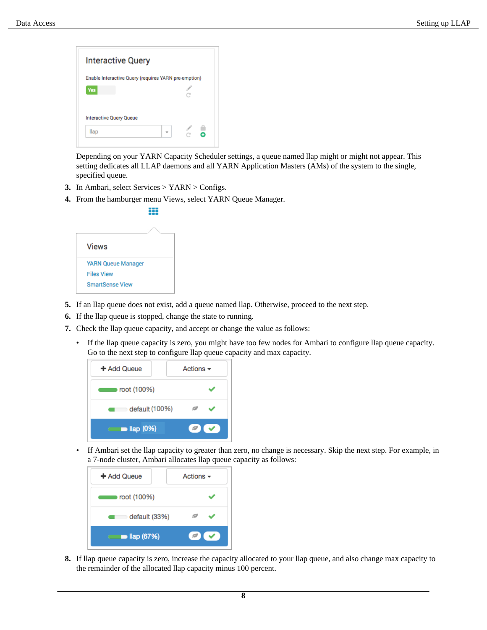

Depending on your YARN Capacity Scheduler settings, a queue named llap might or might not appear. This setting dedicates all LLAP daemons and all YARN Application Masters (AMs) of the system to the single, specified queue.

- **3.** In Ambari, select Services > YARN > Configs.
- **4.** From the hamburger menu Views, select YARN Queue Manager.

|                        |  | <b>YARN Queue Manager</b> |  |  |  |
|------------------------|--|---------------------------|--|--|--|
|                        |  |                           |  |  |  |
| <b>SmartSense View</b> |  |                           |  |  |  |
|                        |  |                           |  |  |  |

- **5.** If an llap queue does not exist, add a queue named llap. Otherwise, proceed to the next step.
- **6.** If the llap queue is stopped, change the state to running.
- **7.** Check the llap queue capacity, and accept or change the value as follows:
	- If the llap queue capacity is zero, you might have too few nodes for Ambari to configure llap queue capacity. Go to the next step to configure llap queue capacity and max capacity.

| + Add Queue              | Actions $\sim$ |
|--------------------------|----------------|
| root (100%)              |                |
| default (100%)           |                |
| $\blacksquare$ llap (0%) |                |

• If Ambari set the llap capacity to greater than zero, no change is necessary. Skip the next step. For example, in a 7-node cluster, Ambari allocates llap queue capacity as follows:



**8.** If llap queue capacity is zero, increase the capacity allocated to your llap queue, and also change max capacity to the remainder of the allocated llap capacity minus 100 percent.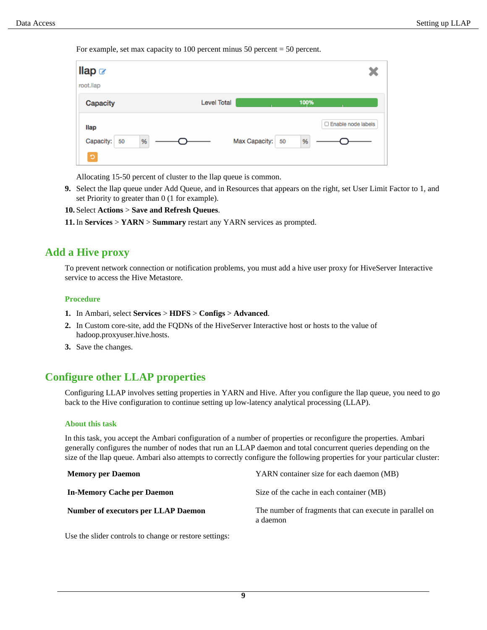For example, set max capacity to 100 percent minus 50 percent  $=$  50 percent.

| llap $\alpha$<br>root.llap           |                    |                     |                           |
|--------------------------------------|--------------------|---------------------|---------------------------|
| Capacity                             | <b>Level Total</b> |                     | 100%                      |
| llap<br>Capacity:<br>$\%$<br>50<br>ಾ |                    | Max Capacity:<br>50 | □ Enable node labels<br>% |

Allocating 15-50 percent of cluster to the llap queue is common.

**9.** Select the llap queue under Add Queue, and in Resources that appears on the right, set User Limit Factor to 1, and set Priority to greater than 0 (1 for example).

**10.**Select **Actions** > **Save and Refresh Queues**.

**11.** In **Services** > **YARN** > **Summary** restart any YARN services as prompted.

### <span id="page-8-0"></span>**Add a Hive proxy**

To prevent network connection or notification problems, you must add a hive user proxy for HiveServer Interactive service to access the Hive Metastore.

#### **Procedure**

- **1.** In Ambari, select **Services** > **HDFS** > **Configs** > **Advanced**.
- **2.** In Custom core-site, add the FQDNs of the HiveServer Interactive host or hosts to the value of hadoop.proxyuser.hive.hosts.
- **3.** Save the changes.

### <span id="page-8-1"></span>**Configure other LLAP properties**

Configuring LLAP involves setting properties in YARN and Hive. After you configure the llap queue, you need to go back to the Hive configuration to continue setting up low-latency analytical processing (LLAP).

#### **About this task**

In this task, you accept the Ambari configuration of a number of properties or reconfigure the properties. Ambari generally configures the number of nodes that run an LLAP daemon and total concurrent queries depending on the size of the llap queue. Ambari also attempts to correctly configure the following properties for your particular cluster:

| <b>Memory per Daemon</b>                   | YARN container size for each daemon (MB)                            |
|--------------------------------------------|---------------------------------------------------------------------|
| In-Memory Cache per Daemon                 | Size of the cache in each container (MB)                            |
| <b>Number of executors per LLAP Daemon</b> | The number of fragments that can execute in parallel on<br>a daemon |

Use the slider controls to change or restore settings: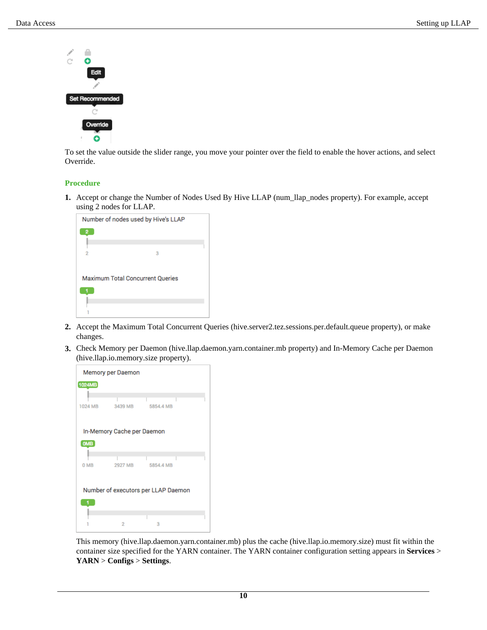

To set the value outside the slider range, you move your pointer over the field to enable the hover actions, and select Override.

### **Procedure**

**1.** Accept or change the Number of Nodes Used By Hive LLAP (num\_llap\_nodes property). For example, accept using 2 nodes for LLAP.

| Number of nodes used by Hive's LLAP     |  |
|-----------------------------------------|--|
|                                         |  |
|                                         |  |
|                                         |  |
| 2<br>я                                  |  |
|                                         |  |
|                                         |  |
|                                         |  |
| <b>Maximum Total Concurrent Queries</b> |  |
|                                         |  |
|                                         |  |
|                                         |  |
|                                         |  |
|                                         |  |
|                                         |  |

- **2.** Accept the Maximum Total Concurrent Queries (hive.server2.tez.sessions.per.default.queue property), or make changes.
- **3.** Check Memory per Daemon (hive.llap.daemon.yarn.container.mb property) and In-Memory Cache per Daemon (hive.llap.io.memory.size property).



This memory (hive.llap.daemon.yarn.container.mb) plus the cache (hive.llap.io.memory.size) must fit within the container size specified for the YARN container. The YARN container configuration setting appears in **Services** > **YARN** > **Configs** > **Settings**.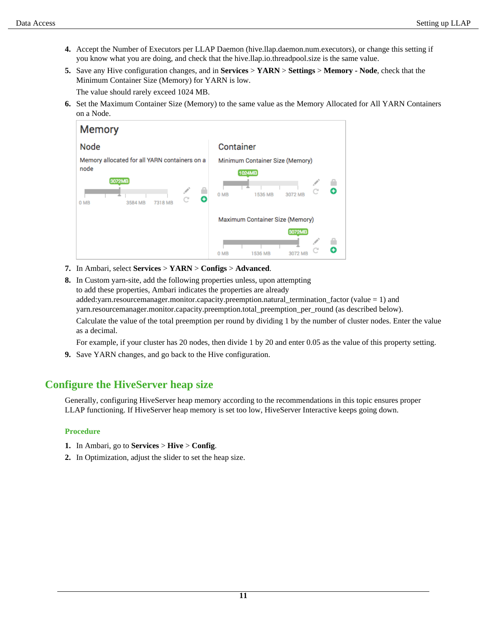- **4.** Accept the Number of Executors per LLAP Daemon (hive.llap.daemon.num.executors), or change this setting if you know what you are doing, and check that the hive.llap.io.threadpool.size is the same value.
- **5.** Save any Hive configuration changes, and in **Services** > **YARN** > **Settings** > **Memory Node**, check that the Minimum Container Size (Memory) for YARN is low.

The value should rarely exceed 1024 MB.

**6.** Set the Maximum Container Size (Memory) to the same value as the Memory Allocated for All YARN Containers on a Node.

| <b>Memory</b>                                                                                                                         |                                                                               |
|---------------------------------------------------------------------------------------------------------------------------------------|-------------------------------------------------------------------------------|
| <b>Node</b>                                                                                                                           | Container                                                                     |
| Memory allocated for all YARN containers on a<br>node<br>3072MB<br>$\mathcal{S}$<br>o<br>3584 MB<br><b>7318 MB</b><br>0 <sub>MB</sub> | Minimum Container Size (Memory)<br>1024MB<br>-m<br>0 MB<br>1536 MB<br>3072 MB |
|                                                                                                                                       | Maximum Container Size (Memory)<br>3072MB<br>0 MB<br>1536 MB                  |

- **7.** In Ambari, select **Services** > **YARN** > **Configs** > **Advanced**.
- **8.** In Custom yarn-site, add the following properties unless, upon attempting to add these properties, Ambari indicates the properties are already added:yarn.resourcemanager.monitor.capacity.preemption.natural\_termination\_factor (value = 1) and yarn.resourcemanager.monitor.capacity.preemption.total\_preemption\_per\_round (as described below). Calculate the value of the total preemption per round by dividing 1 by the number of cluster nodes. Enter the value

as a decimal.

For example, if your cluster has 20 nodes, then divide 1 by 20 and enter 0.05 as the value of this property setting.

**9.** Save YARN changes, and go back to the Hive configuration.

## <span id="page-10-0"></span>**Configure the HiveServer heap size**

Generally, configuring HiveServer heap memory according to the recommendations in this topic ensures proper LLAP functioning. If HiveServer heap memory is set too low, HiveServer Interactive keeps going down.

### **Procedure**

- **1.** In Ambari, go to **Services** > **Hive** > **Config**.
- **2.** In Optimization, adjust the slider to set the heap size.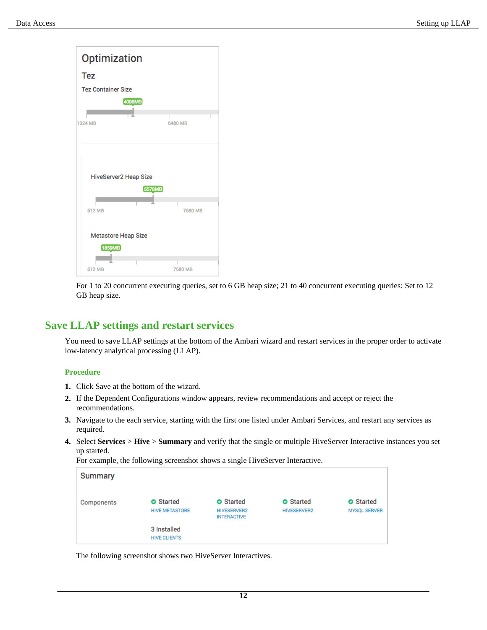

For 1 to 20 concurrent executing queries, set to 6 GB heap size; 21 to 40 concurrent executing queries: Set to 12 GB heap size.

### <span id="page-11-0"></span>**Save LLAP settings and restart services**

You need to save LLAP settings at the bottom of the Ambari wizard and restart services in the proper order to activate low-latency analytical processing (LLAP).

### **Procedure**

- **1.** Click Save at the bottom of the wizard.
- **2.** If the Dependent Configurations window appears, review recommendations and accept or reject the recommendations.
- **3.** Navigate to the each service, starting with the first one listed under Ambari Services, and restart any services as required.
- **4.** Select **Services** > **Hive** > **Summary** and verify that the single or multiple HiveServer Interactive instances you set up started.

For example, the following screenshot shows a single HiveServer Interactive.

| Summary    |                                           |                                                     |                                        |                                         |
|------------|-------------------------------------------|-----------------------------------------------------|----------------------------------------|-----------------------------------------|
| Components | <b>O</b> Started<br><b>HIVE METASTORE</b> | Started<br><b>HIVESERVER2</b><br><b>INTERACTIVE</b> | <b>O</b> Started<br><b>HIVESERVER2</b> | <b>O</b> Started<br><b>MYSQL SERVER</b> |
|            | 3 Installed<br><b>HIVE CLIENTS</b>        |                                                     |                                        |                                         |

The following screenshot shows two HiveServer Interactives.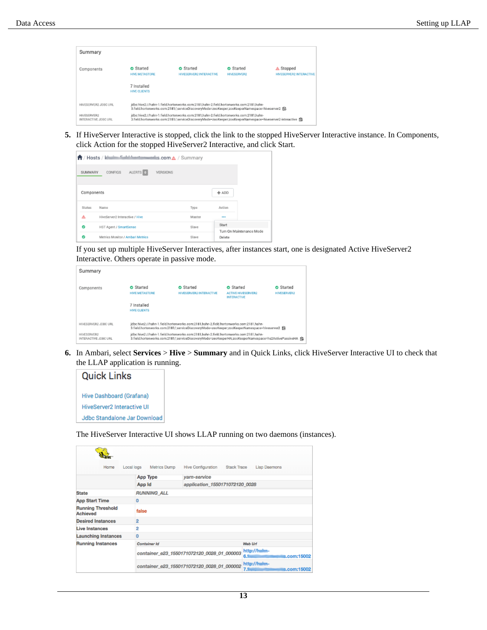| Summary                             |                                           |                                                                                                                                                                                                   |                                        |                                      |
|-------------------------------------|-------------------------------------------|---------------------------------------------------------------------------------------------------------------------------------------------------------------------------------------------------|----------------------------------------|--------------------------------------|
| Components                          | <b>O</b> Started<br><b>HIVE METASTORE</b> | <b>O</b> Started<br><b>HIVESERVER2 INTERACTIVE</b>                                                                                                                                                | <b>O</b> Started<br><b>HIVESERVER2</b> | A Stopped<br>HIVESERVER2 INTERACTIVE |
|                                     | 7 Installed<br>HIVE CLIENTS               |                                                                                                                                                                                                   |                                        |                                      |
| HIVESERVER2 JDBC URL                |                                           | idbc:hive2://hahn-1.field.hortonworks.com:2181.hahn-2.field.hortonworks.com:2181.hahn-<br>3.field.hortonworks.com;2181/;serviceDiscoveryMode=zooKeeper;zooKeeperNamespace=hiveserver2 (S)         |                                        |                                      |
| HIVESSBVER2<br>INTERACTIVE JOBC URL |                                           | idbc:hive2://hahn-1.field.hortonworks.com:2181,hahn-2.field.hortonworks.com:2181,hahn-<br>3.field.hortonworks.com:2181/:serviceDiscoveryMode=zooKeeper;zooKeeperNamespace=hiveserver2-interactive |                                        |                                      |

**5.** If HiveServer Interactive is stopped, click the link to the stopped HiveServer Interactive instance. In Components, click Action for the stopped HiveServer2 Interactive, and click Start.

|            | ←/ Hosts / ktml → Californians   | <b>nnlus.com ∆</b> / Summary |        |                                   |  |
|------------|----------------------------------|------------------------------|--------|-----------------------------------|--|
| SUMMARY    | ALERTS <sup>O</sup><br>CONFIGS   | VERSIONS                     |        |                                   |  |
| Components |                                  |                              |        | $+$ ADD                           |  |
| Status     | Name                             |                              | Type   | Aetion                            |  |
| А          | HiveServer2 Interactive / Hive   |                              | Master | <b>ALC</b>                        |  |
| o          | HST Agent / SmartSense           |                              | Slave  | Start                             |  |
| o          | Metrics Monitor / Ambari Metrics |                              | Slave  | Tum On Maintenance Mode<br>Delete |  |

If you set up multiple HiveServer Interactives, after instances start, one is designated Active HiveServer2 Interactive. Others operate in passive mode.

| Summary                                    |                                    |                                                                                                                                                                                                  |                                                                     |                                        |
|--------------------------------------------|------------------------------------|--------------------------------------------------------------------------------------------------------------------------------------------------------------------------------------------------|---------------------------------------------------------------------|----------------------------------------|
| Components                                 | <b>O</b> Started<br>HIVE METASTORE | <b>O</b> Started<br>HIVESERVER2 INTERACTIVE                                                                                                                                                      | <b>O</b> Started<br><b>ACTIVE HIVESERVER2</b><br><b>INTERACTIVE</b> | <b>O</b> Started<br><b>HIMESERVER2</b> |
|                                            | 7 Installed<br><b>HIVE CLIENTS</b> |                                                                                                                                                                                                  |                                                                     |                                        |
| HIVESERVER2 JDBC URL                       |                                    | idbc:hive2://hahn-1.field.hortonworks.com:2181.hahn-2.field.hortonworks.com:2181.hahn-<br>3.field.hortonworks.com:2181/;serviceDiscoveryMode=zooKeeper;zooKeeperNamespace=hiveserver2 日          |                                                                     |                                        |
| <b>HIVESTRATR2</b><br>INTERACTIVE JDBC URL |                                    | jdbc:hive2://hahn-1.field.hortonworks.com:2181.hahn-2.field.hortonworks.com:2181.hahn-<br>3.field.hortonworks.com:2181/;serviceDiscoveryMode=zooKeeperHA;zooKeeperNamespace=hs2ActivePassiveHA 除 |                                                                     |                                        |

**6.** In Ambari, select **Services** > **Hive** > **Summary** and in Quick Links, click HiveServer Interactive UI to check that the LLAP application is running.



The HiveServer Interactive UI shows LLAP running on two daemons (instances).

| Home                                 | Metrics Dump<br>Local logs | Hive Configuration<br>Stack Trace          | Llap Daemons                                    |  |  |  |  |
|--------------------------------------|----------------------------|--------------------------------------------|-------------------------------------------------|--|--|--|--|
|                                      | <b>App Type</b>            | yarn-service                               |                                                 |  |  |  |  |
|                                      | App Id                     | application 1550171072120 0028             |                                                 |  |  |  |  |
| <b>State</b>                         | <b>RUNNING ALL</b>         |                                            |                                                 |  |  |  |  |
| <b>App Start Time</b>                | $\Omega$                   |                                            |                                                 |  |  |  |  |
| <b>Running Threshold</b><br>Achieved | false                      |                                            |                                                 |  |  |  |  |
| <b>Desired Instances</b>             | $\overline{2}$             |                                            |                                                 |  |  |  |  |
| Live Instances                       | $\overline{2}$             |                                            |                                                 |  |  |  |  |
| <b>Launching Instances</b>           | 0                          |                                            |                                                 |  |  |  |  |
| <b>Running Instances</b>             | Container Id               |                                            | Web Urf                                         |  |  |  |  |
|                                      |                            | container_e23_1550171072120_0028_01_000003 | http://huim-<br>s.com:15002<br>6.5 <sub>m</sub> |  |  |  |  |
|                                      |                            | container_e23_1550171072120_0028_01_000002 | http://huim-<br>s.com:15002<br>7.1              |  |  |  |  |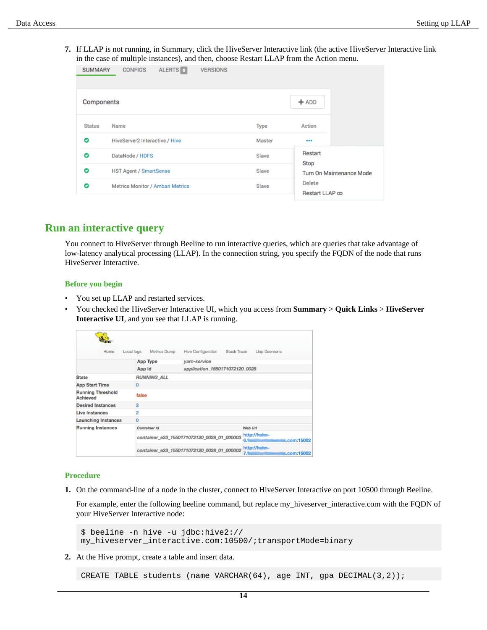**7.** If LLAP is not running, in Summary, click the HiveServer Interactive link (the active HiveServer Interactive link in the case of multiple instances), and then, choose Restart LLAP from the Action menu.

| <b>SUMMARY</b>                        | <b>CONFIGS</b>                | ALERTS 0 | <b>VERSIONS</b> |             |                                                               |  |
|---------------------------------------|-------------------------------|----------|-----------------|-------------|---------------------------------------------------------------|--|
| Components                            |                               |          |                 |             | $+$ ADD                                                       |  |
| <b>Status</b>                         | Name                          |          |                 | <b>Type</b> | Action                                                        |  |
| O<br>HiveServer2 Interactive / Hive   |                               |          |                 | Master      | $\cdots$                                                      |  |
| O                                     | DataNode / HDFS               |          | Slave           | Restart     |                                                               |  |
| O                                     | <b>HST Agent / SmartSense</b> |          |                 | Slave       | Stop<br>Turn On Maintenance Mode<br>Delete<br>Restart LLAP oo |  |
| O<br>Metrics Monitor / Ambari Metrics |                               |          | Slave           |             |                                                               |  |

### <span id="page-13-0"></span>**Run an interactive query**

You connect to HiveServer through Beeline to run interactive queries, which are queries that take advantage of low-latency analytical processing (LLAP). In the connection string, you specify the FQDN of the node that runs HiveServer Interactive.

### **Before you begin**

- You set up LLAP and restarted services.
- You checked the HiveServer Interactive UI, which you access from **Summary** > **Quick Links** > **HiveServer Interactive UI**, and you see that LLAP is running.

| Home                                 | Local logs<br>Metrics Dump                                                       | Hive Configuration Stack Trace             | Llap Daemons                                    |  |  |  |  |
|--------------------------------------|----------------------------------------------------------------------------------|--------------------------------------------|-------------------------------------------------|--|--|--|--|
|                                      | <b>App Type</b>                                                                  | yarn-service                               |                                                 |  |  |  |  |
|                                      | App Id                                                                           | application 1550171072120 0028             |                                                 |  |  |  |  |
| <b>State</b>                         | <b>RUNNING ALL</b>                                                               |                                            |                                                 |  |  |  |  |
| <b>App Start Time</b>                | o                                                                                |                                            |                                                 |  |  |  |  |
| <b>Running Threshold</b><br>Achieved | false                                                                            |                                            |                                                 |  |  |  |  |
| <b>Desired Instances</b>             | $\overline{2}$                                                                   |                                            |                                                 |  |  |  |  |
| Live Instances                       | 2                                                                                |                                            |                                                 |  |  |  |  |
| <b>Launching Instances</b>           | 0                                                                                |                                            |                                                 |  |  |  |  |
| <b>Running Instances</b>             | Container Id                                                                     |                                            | Web Urf                                         |  |  |  |  |
|                                      |                                                                                  | container_e23_1550171072120_0028_01_000003 | http://hulm-<br>s.com:15002<br>6.5 <sub>m</sub> |  |  |  |  |
|                                      | http://huim-<br>container_e23_1550171072120_0028_01_000002<br>s.com:15002<br>7.1 |                                            |                                                 |  |  |  |  |

### **Procedure**

**1.** On the command-line of a node in the cluster, connect to HiveServer Interactive on port 10500 through Beeline.

For example, enter the following beeline command, but replace my\_hiveserver\_interactive.com with the FQDN of your HiveServer Interactive node:

\$ beeline -n hive -u jdbc:hive2:// my\_hiveserver\_interactive.com:10500/;transportMode=binary

**2.** At the Hive prompt, create a table and insert data.

CREATE TABLE students (name VARCHAR(64), age INT, gpa DECIMAL(3,2));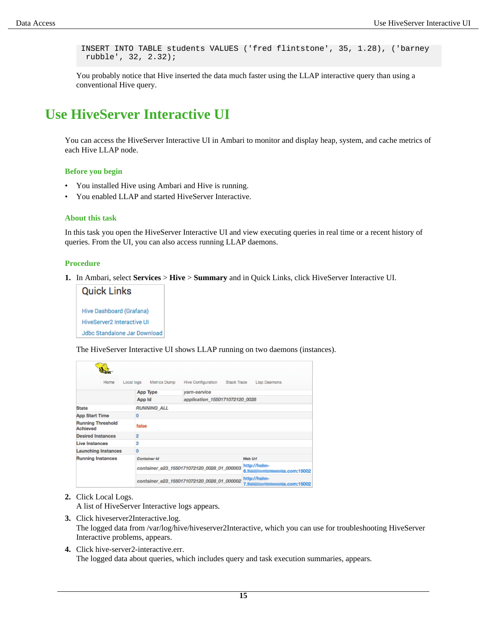INSERT INTO TABLE students VALUES ('fred flintstone', 35, 1.28), ('barney rubble', 32, 2.32);

You probably notice that Hive inserted the data much faster using the LLAP interactive query than using a conventional Hive query.

## <span id="page-14-0"></span>**Use HiveServer Interactive UI**

You can access the HiveServer Interactive UI in Ambari to monitor and display heap, system, and cache metrics of each Hive LLAP node.

#### **Before you begin**

- You installed Hive using Ambari and Hive is running.
- You enabled LLAP and started HiveServer Interactive.

### **About this task**

In this task you open the HiveServer Interactive UI and view executing queries in real time or a recent history of queries. From the UI, you can also access running LLAP daemons.

#### **Procedure**

**1.** In Ambari, select **Services** > **Hive** > **Summary** and in Quick Links, click HiveServer Interactive UI.



The HiveServer Interactive UI shows LLAP running on two daemons (instances).

| Home                                 | Local logs<br>Metrics Dump                                                                    | Hive Configuration<br>Stack Trace          | Llap Daemons                        |  |  |  |  |
|--------------------------------------|-----------------------------------------------------------------------------------------------|--------------------------------------------|-------------------------------------|--|--|--|--|
|                                      | App Type                                                                                      | yarn-service                               |                                     |  |  |  |  |
|                                      | App Id                                                                                        | application 1550171072120 0028             |                                     |  |  |  |  |
| <b>State</b>                         | <b>RUNNING ALL</b>                                                                            |                                            |                                     |  |  |  |  |
| <b>App Start Time</b>                | $\Omega$                                                                                      |                                            |                                     |  |  |  |  |
| <b>Running Threshold</b><br>Achieved | false                                                                                         |                                            |                                     |  |  |  |  |
| <b>Desired Instances</b>             | $\overline{2}$                                                                                |                                            |                                     |  |  |  |  |
| Live Instances                       | 2                                                                                             |                                            |                                     |  |  |  |  |
| <b>Launching Instances</b>           | $\mathbf 0$                                                                                   |                                            |                                     |  |  |  |  |
| <b>Running Instances</b>             | Container Id                                                                                  |                                            | Web Urf                             |  |  |  |  |
|                                      |                                                                                               | container_e23_1550171072120_0028_01_000003 | http://hulm-<br>s.com:15002<br>6.5% |  |  |  |  |
|                                      | http:// <del>haim</del> -<br>container_e23_1550171072120_0028_01_000002<br>s.com:15002<br>7.1 |                                            |                                     |  |  |  |  |

**2.** Click Local Logs.

A list of HiveServer Interactive logs appears.

**3.** Click hiveserver2Interactive.log.

The logged data from /var/log/hive/hiveserver2Interactive, which you can use for troubleshooting HiveServer Interactive problems, appears.

**4.** Click hive-server2-interactive.err. The logged data about queries, which includes query and task execution summaries, appears.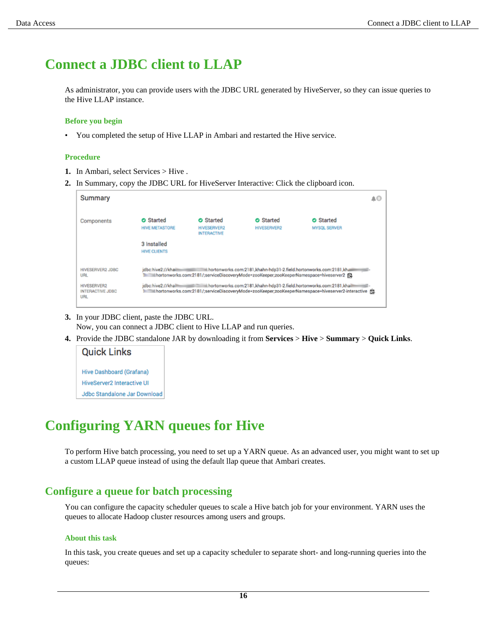## <span id="page-15-0"></span>**Connect a JDBC client to LLAP**

As administrator, you can provide users with the JDBC URL generated by HiveServer, so they can issue queries to the Hive LLAP instance.

#### **Before you begin**

• You completed the setup of Hive LLAP in Ambari and restarted the Hive service.

#### **Procedure**

- **1.** In Ambari, select Services > Hive .
- **2.** In Summary, copy the JDBC URL for HiveServer Interactive: Click the clipboard icon.

| Summary                                              |                                                          |                                                                                     |                                                                           |                                                                                                   | ∡⊙ |
|------------------------------------------------------|----------------------------------------------------------|-------------------------------------------------------------------------------------|---------------------------------------------------------------------------|---------------------------------------------------------------------------------------------------|----|
| Components                                           | <b>O</b> Started<br><b>HIVE METASTORE</b><br>3 Installed | <b>O</b> Started<br><b>HIVESERVER2</b><br><b>INTERACTIVE</b>                        | <b>O</b> Started<br><b>HIVESERVER2</b>                                    | <b>O</b> Started<br><b>MYSQL SERVER</b>                                                           |    |
| <b>HIVESERVER2 JDBC</b><br>URL                       | <b>HIVE CLIENTS</b><br>idbc:hive2://khaili               | hortonworks.com:2181/;serviceDiscoveryMode=zooKeeper;zooKeeperNamespace=hiveserver2 | iii.hortonworks.com:2181,khahn-hdp31-2.field.hortonworks.com:2181,khaiiii |                                                                                                   |    |
| <b>HIVESERVER2</b><br><b>INTERACTIVE JDBC</b><br>URL | idbc:hive2://khaill                                      | and the                                                                             | hortonworks.com:2181,khahn-hdp31-2.field.hortonworks.com:2181,khail       | 1 hortonworks.com:2181/;serviceDiscoveryMode=zooKeeper;zooKeeperNamespace=hiveserver2-interactive |    |

- **3.** In your JDBC client, paste the JDBC URL. Now, you can connect a JDBC client to Hive LLAP and run queries.
- **4.** Provide the JDBC standalone JAR by downloading it from **Services** > **Hive** > **Summary** > **Quick Links**.

## **Quick Links** Hive Dashboard (Grafana) **HiveServer2 Interactive UI** Jdbc Standalone Jar Download

## <span id="page-15-1"></span>**Configuring YARN queues for Hive**

To perform Hive batch processing, you need to set up a YARN queue. As an advanced user, you might want to set up a custom LLAP queue instead of using the default llap queue that Ambari creates.

## <span id="page-15-2"></span>**Configure a queue for batch processing**

You can configure the capacity scheduler queues to scale a Hive batch job for your environment. YARN uses the queues to allocate Hadoop cluster resources among users and groups.

### **About this task**

In this task, you create queues and set up a capacity scheduler to separate short- and long-running queries into the queues: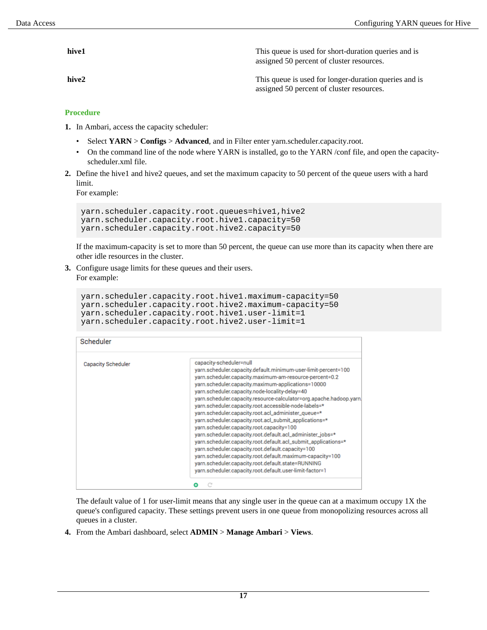**hive1** This queue is used for short-duration queries and is assigned 50 percent of cluster resources.

**hive2** This queue is used for longer-duration queries and is assigned 50 percent of cluster resources.

### **Procedure**

- **1.** In Ambari, access the capacity scheduler:
	- Select **YARN** > **Configs** > **Advanced**, and in Filter enter yarn.scheduler.capacity.root.
	- On the command line of the node where YARN is installed, go to the YARN /conf file, and open the capacityscheduler.xml file.
- **2.** Define the hive1 and hive2 queues, and set the maximum capacity to 50 percent of the queue users with a hard limit.

For example:

```
yarn.scheduler.capacity.root.queues=hive1,hive2
yarn.scheduler.capacity.root.hive1.capacity=50
yarn.scheduler.capacity.root.hive2.capacity=50
```
If the maximum-capacity is set to more than 50 percent, the queue can use more than its capacity when there are other idle resources in the cluster.

**3.** Configure usage limits for these queues and their users. For example:

```
yarn.scheduler.capacity.root.hive1.maximum-capacity=50
yarn.scheduler.capacity.root.hive2.maximum-capacity=50
yarn.scheduler.capacity.root.hive1.user-limit=1
yarn.scheduler.capacity.root.hive2.user-limit=1
```

| Scheduler                 |                                                                                                                                                                                                                                                                                                                                                                                                                                                                                                                                                                                                                                                                                                                                                                                                                                                                                                                                |
|---------------------------|--------------------------------------------------------------------------------------------------------------------------------------------------------------------------------------------------------------------------------------------------------------------------------------------------------------------------------------------------------------------------------------------------------------------------------------------------------------------------------------------------------------------------------------------------------------------------------------------------------------------------------------------------------------------------------------------------------------------------------------------------------------------------------------------------------------------------------------------------------------------------------------------------------------------------------|
| <b>Capacity Scheduler</b> | capacity-scheduler=null<br>yarn.scheduler.capacity.default.minimum-user-limit-percent=100<br>yarn.scheduler.capacity.maximum-am-resource-percent=0.2<br>yarn.scheduler.capacity.maximum-applications=10000<br>yarn.scheduler.capacity.node-locality-delay=40<br>yarn.scheduler.capacity.resource-calculator=org.apache.hadoop.yarn.<br>yarn.scheduler.capacity.root.accessible-node-labels=*<br>yarn.scheduler.capacity.root.acl_administer_queue=*<br>yarn.scheduler.capacity.root.acl_submit_applications=*<br>yarn.scheduler.capacity.root.capacity=100<br>yarn.scheduler.capacity.root.default.acl_administer_jobs=*<br>yarn.scheduler.capacity.root.default.acl_submit_applications=*<br>yarn.scheduler.capacity.root.default.capacity=100<br>yarn.scheduler.capacity.root.default.maximum-capacity=100<br>yarn.scheduler.capacity.root.default.state=RUNNING<br>yarn.scheduler.capacity.root.default.user-limit-factor=1 |
|                           |                                                                                                                                                                                                                                                                                                                                                                                                                                                                                                                                                                                                                                                                                                                                                                                                                                                                                                                                |

The default value of 1 for user-limit means that any single user in the queue can at a maximum occupy 1X the queue's configured capacity. These settings prevent users in one queue from monopolizing resources across all queues in a cluster.

**4.** From the Ambari dashboard, select **ADMIN** > **Manage Ambari** > **Views**.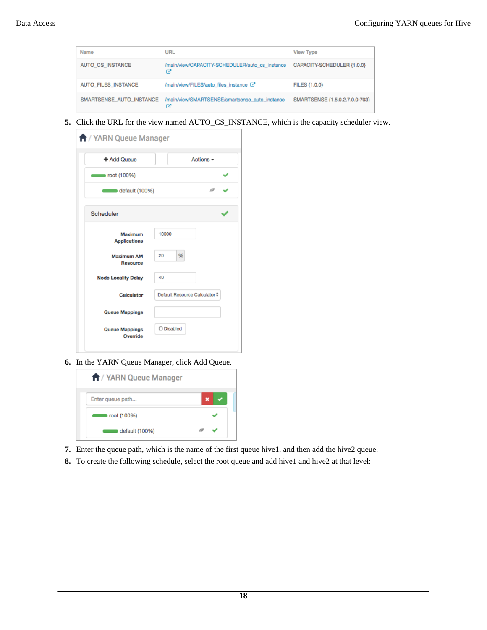| Name                       | URL                                                 | <b>View Type</b>               |
|----------------------------|-----------------------------------------------------|--------------------------------|
| AUTO_CS_INSTANCE           | /main/view/CAPACITY-SCHEDULER/auto_cs_instance<br>œ | CAPACITY-SCHEDULER {1.0.0}     |
| <b>AUTO FILES INSTANCE</b> | /main/view/FILES/auto_files_instance <a></a>        | <b>FILES {1.0.0}</b>           |
| SMARTSENSE AUTO INSTANCE   | /main/view/SMARTSENSE/smartsense_auto_instance      | SMARTSENSE {1,5,0,2,7,0,0-703} |

**5.** Click the URL for the view named AUTO\_CS\_INSTANCE, which is the capacity scheduler view.

| A / YARN Queue Manager                |                               |
|---------------------------------------|-------------------------------|
| + Add Queue                           | Actions $\sim$                |
| $\sim$ root (100%)                    |                               |
| $\blacksquare$ default (100%)         | ø                             |
| Scheduler                             |                               |
| <b>Maximum</b><br><b>Applications</b> | 10000                         |
| <b>Maximum AM</b><br><b>Resource</b>  | 20<br>%                       |
| <b>Node Locality Delay</b>            | 40                            |
| Calculator                            | Default Resource Calculator + |
| <b>Queue Mappings</b>                 |                               |
| <b>Queue Mappings</b><br>Override     | O Disabled                    |
|                                       |                               |

**6.** In the YARN Queue Manager, click Add Queue.



- **7.** Enter the queue path, which is the name of the first queue hive1, and then add the hive2 queue.
- **8.** To create the following schedule, select the root queue and add hive1 and hive2 at that level: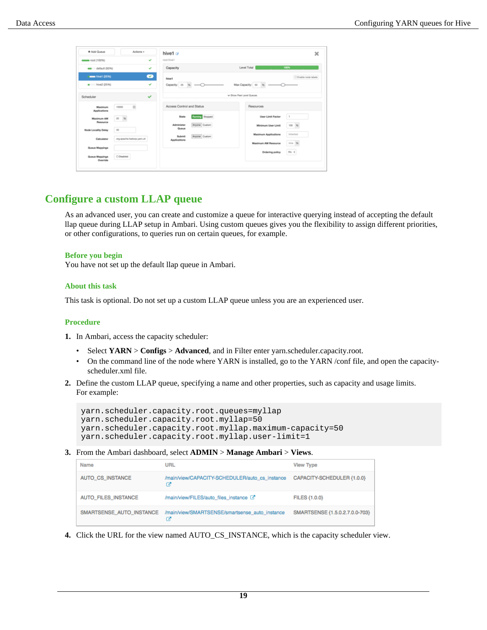|                            |                           |           | hive1 $\alpha$            |                 |                             | $\boldsymbol{\times}$ |
|----------------------------|---------------------------|-----------|---------------------------|-----------------|-----------------------------|-----------------------|
| moot (100%)                |                           | v         | root hive!                |                 |                             |                       |
| e default (50%)            |                           | v         | Capacity                  |                 | Level Total                 | 100%                  |
| men hive1 (25%)            |                           | $\bullet$ | hive1                     |                 |                             | C Enable node labels  |
| $\bullet$ hive2 (25%)      |                           | v         | Capacity: 25 % -O-        |                 |                             |                       |
| Scheduler                  |                           | v         |                           |                 | v Show Peer Level Queues    |                       |
| Maximum<br>Applications    | $\mathbf{m}$<br>10000     |           | Access Control and Status |                 | Resources                   |                       |
| Maximum AM                 | $\%$<br>20                |           | State                     | Running Stopped | User Limit Factor           | $\,$ 1                |
| Resource                   |                           |           | Administer<br>Queue       | Anyone Custom   | Minimum User Limit          | 100 %                 |
| <b>Node Locality Delay</b> | $-400$                    |           |                           |                 | <b>Maximum Applications</b> | Inherited             |
| Calculator                 | org.apache.hadoop.yam.uti |           | Submit<br>Applications    | Anyone Custom   |                             |                       |
| Queue Mappings             |                           |           |                           |                 | Maximum AM Resource         | Inha %                |
| Queue Mappings<br>Override | C Disabled                |           |                           |                 | Ordering policy             | file #                |

## <span id="page-18-0"></span>**Configure a custom LLAP queue**

As an advanced user, you can create and customize a queue for interactive querying instead of accepting the default llap queue during LLAP setup in Ambari. Using custom queues gives you the flexibility to assign different priorities, or other configurations, to queries run on certain queues, for example.

### **Before you begin**

You have not set up the default llap queue in Ambari.

### **About this task**

This task is optional. Do not set up a custom LLAP queue unless you are an experienced user.

### **Procedure**

- **1.** In Ambari, access the capacity scheduler:
	- Select **YARN** > **Configs** > **Advanced**, and in Filter enter yarn.scheduler.capacity.root.
	- On the command line of the node where YARN is installed, go to the YARN /conf file, and open the capacityscheduler.xml file.
- **2.** Define the custom LLAP queue, specifying a name and other properties, such as capacity and usage limits. For example:

```
yarn.scheduler.capacity.root.queues=myllap
yarn.scheduler.capacity.root.myllap=50 
yarn.scheduler.capacity.root.myllap.maximum-capacity=50
yarn.scheduler.capacity.root.myllap.user-limit=1
```
**3.** From the Ambari dashboard, select **ADMIN** > **Manage Ambari** > **Views**.

| <b>Name</b>              | URL                                                 | <b>View Type</b>               |
|--------------------------|-----------------------------------------------------|--------------------------------|
| AUTO_CS_INSTANCE         | /main/view/CAPACITY-SCHEDULER/auto_cs_instance<br>œ | CAPACITY-SCHEDULER {1.0.0}     |
| AUTO_FILES_INSTANCE      | /main/view/FILES/auto_files_instance <a></a>        | <b>FILES {1.0.0}</b>           |
| SMARTSENSE AUTO INSTANCE | /main/view/SMARTSENSE/smartsense_auto_instance      | SMARTSENSE {1,5,0,2,7,0,0-703} |

**4.** Click the URL for the view named AUTO\_CS\_INSTANCE, which is the capacity scheduler view.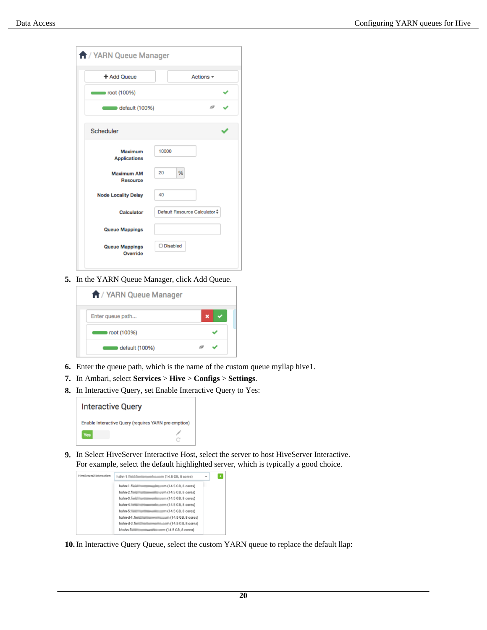| <b>f</b> / YARN Queue Manager        |                               |
|--------------------------------------|-------------------------------|
| + Add Queue                          | Actions $\sim$                |
| $\sim$ root (100%)                   |                               |
| $\blacksquare$ default (100%)        | ø                             |
| Scheduler                            |                               |
| Maximum<br><b>Applications</b>       | 10000                         |
| <b>Maximum AM</b><br><b>Resource</b> | %<br>20                       |
| <b>Node Locality Delay</b>           | 40                            |
| Calculator                           | Default Resource Calculator # |
| <b>Queue Mappings</b>                |                               |
| <b>Queue Mappings</b><br>Override    | □ Disabled                    |

**5.** In the YARN Queue Manager, click Add Queue.

| A / YARN Queue Manager |  |
|------------------------|--|
| Enter queue path       |  |
| root (100%)            |  |
| default (100%)         |  |

- **6.** Enter the queue path, which is the name of the custom queue myllap hive1.
- **7.** In Ambari, select **Services** > **Hive** > **Configs** > **Settings**.
- **8.** In Interactive Query, set Enable Interactive Query to Yes:



**9.** In Select HiveServer Interactive Host, select the server to host HiveServer Interactive. For example, select the default highlighted server, which is typically a good choice.



**10.** In Interactive Query Queue, select the custom YARN queue to replace the default llap: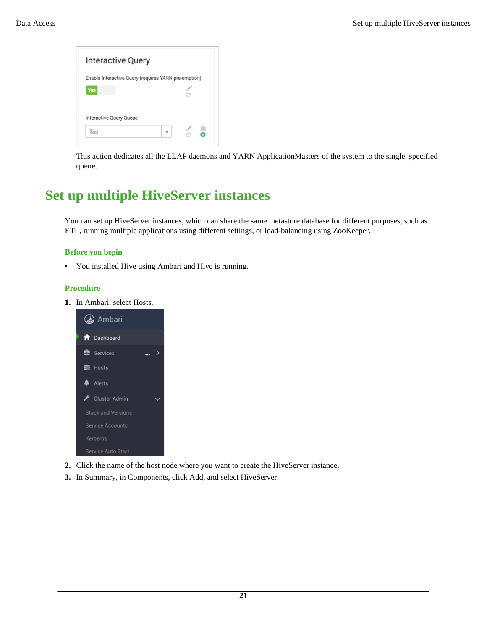

This action dedicates all the LLAP daemons and YARN ApplicationMasters of the system to the single, specified queue.

## <span id="page-20-0"></span>**Set up multiple HiveServer instances**

You can set up HiveServer instances, which can share the same metastore database for different purposes, such as ETL, running multiple applications using different settings, or load-balancing using ZooKeeper.

### **Before you begin**

• You installed Hive using Ambari and Hive is running.

### **Procedure**

**1.** In Ambari, select Hosts.



- **2.** Click the name of the host node where you want to create the HiveServer instance.
- **3.** In Summary, in Components, click Add, and select HiveServer.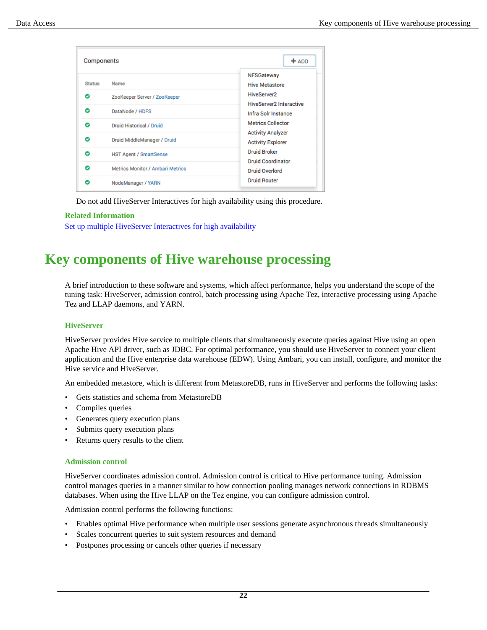| <b>Components</b> |                                  | $+$ ADD                                              |
|-------------------|----------------------------------|------------------------------------------------------|
| <b>Status</b>     | Name                             | NFSGateway<br><b>Hive Metastore</b>                  |
| Θ                 | ZooKeeper Server / ZooKeeper     | HiveServer2<br><b>HiveServer2 Interactive</b>        |
| Θ                 | DataNode / HDFS                  | Infra Solr Instance                                  |
| Θ                 | Druid Historical / Druid         | <b>Metrics Collector</b>                             |
| Θ                 | Druid MiddleManager / Druid      | <b>Activity Analyzer</b><br><b>Activity Explorer</b> |
| Θ                 | <b>HST Agent / SmartSense</b>    | <b>Druid Broker</b>                                  |
| Θ                 | Metrics Monitor / Ambari Metrics | <b>Druid Coordinator</b><br>Druid Overlord           |
| Ω                 | NodeManager / YARN               | <b>Druid Router</b>                                  |

Do not add HiveServer Interactives for high availability using this procedure.

### **Related Information**

[Set up multiple HiveServer Interactives for high availability](#page-6-0)

## <span id="page-21-0"></span>**Key components of Hive warehouse processing**

A brief introduction to these software and systems, which affect performance, helps you understand the scope of the tuning task: HiveServer, admission control, batch processing using Apache Tez, interactive processing using Apache Tez and LLAP daemons, and YARN.

### **HiveServer**

HiveServer provides Hive service to multiple clients that simultaneously execute queries against Hive using an open Apache Hive API driver, such as JDBC. For optimal performance, you should use HiveServer to connect your client application and the Hive enterprise data warehouse (EDW). Using Ambari, you can install, configure, and monitor the Hive service and HiveServer.

An embedded metastore, which is different from MetastoreDB, runs in HiveServer and performs the following tasks:

- Gets statistics and schema from MetastoreDB
- Compiles queries
- Generates query execution plans
- Submits query execution plans
- Returns query results to the client

### **Admission control**

HiveServer coordinates admission control. Admission control is critical to Hive performance tuning. Admission control manages queries in a manner similar to how connection pooling manages network connections in RDBMS databases. When using the Hive LLAP on the Tez engine, you can configure admission control.

Admission control performs the following functions:

- Enables optimal Hive performance when multiple user sessions generate asynchronous threads simultaneously
- Scales concurrent queries to suit system resources and demand
- Postpones processing or cancels other queries if necessary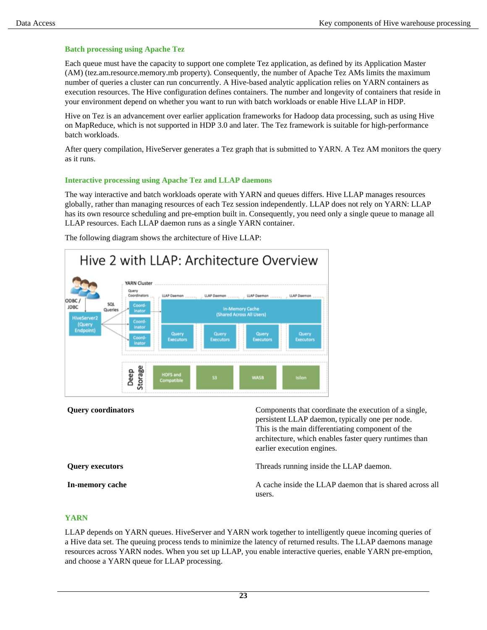### **Batch processing using Apache Tez**

Each queue must have the capacity to support one complete Tez application, as defined by its Application Master (AM) (tez.am.resource.memory.mb property). Consequently, the number of Apache Tez AMs limits the maximum number of queries a cluster can run concurrently. A Hive-based analytic application relies on YARN containers as execution resources. The Hive configuration defines containers. The number and longevity of containers that reside in your environment depend on whether you want to run with batch workloads or enable Hive LLAP in HDP.

Hive on Tez is an advancement over earlier application frameworks for Hadoop data processing, such as using Hive on MapReduce, which is not supported in HDP 3.0 and later. The Tez framework is suitable for high-performance batch workloads.

After query compilation, HiveServer generates a Tez graph that is submitted to YARN. A Tez AM monitors the query as it runs.

### **Interactive processing using Apache Tez and LLAP daemons**

The way interactive and batch workloads operate with YARN and queues differs. Hive LLAP manages resources globally, rather than managing resources of each Tez session independently. LLAP does not rely on YARN: LLAP has its own resource scheduling and pre-emption built in. Consequently, you need only a single queue to manage all LLAP resources. Each LLAP daemon runs as a single YARN container.



The following diagram shows the architecture of Hive LLAP:

**Query coordinators** Components that coordinate the execution of a single, persistent LLAP daemon, typically one per node. This is the main differentiating component of the architecture, which enables faster query runtimes than earlier execution engines.

**Query executors** Threads running inside the LLAP daemon.

**In-memory cache** A cache inside the LLAP daemon that is shared across all users.

### **YARN**

LLAP depends on YARN queues. HiveServer and YARN work together to intelligently queue incoming queries of a Hive data set. The queuing process tends to minimize the latency of returned results. The LLAP daemons manage resources across YARN nodes. When you set up LLAP, you enable interactive queries, enable YARN pre-emption, and choose a YARN queue for LLAP processing.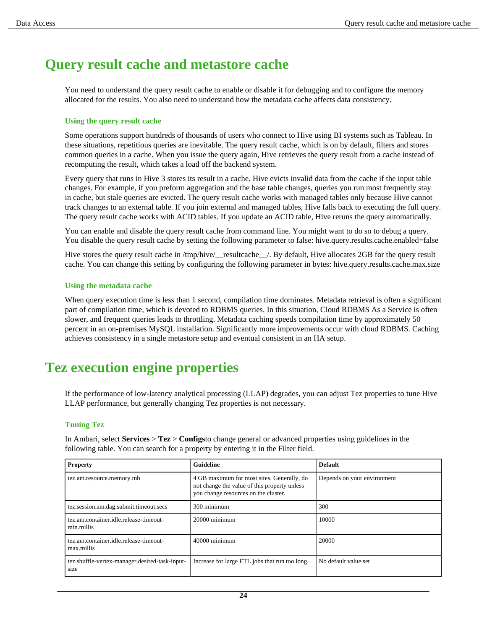## <span id="page-23-0"></span>**Query result cache and metastore cache**

You need to understand the query result cache to enable or disable it for debugging and to configure the memory allocated for the results. You also need to understand how the metadata cache affects data consistency.

### **Using the query result cache**

Some operations support hundreds of thousands of users who connect to Hive using BI systems such as Tableau. In these situations, repetitious queries are inevitable. The query result cache, which is on by default, filters and stores common queries in a cache. When you issue the query again, Hive retrieves the query result from a cache instead of recomputing the result, which takes a load off the backend system.

Every query that runs in Hive 3 stores its result in a cache. Hive evicts invalid data from the cache if the input table changes. For example, if you preform aggregation and the base table changes, queries you run most frequently stay in cache, but stale queries are evicted. The query result cache works with managed tables only because Hive cannot track changes to an external table. If you join external and managed tables, Hive falls back to executing the full query. The query result cache works with ACID tables. If you update an ACID table, Hive reruns the query automatically.

You can enable and disable the query result cache from command line. You might want to do so to debug a query. You disable the query result cache by setting the following parameter to false: hive.query.results.cache.enabled=false

Hive stores the query result cache in /tmp/hive/\_resultcache\_/. By default, Hive allocates 2GB for the query result cache. You can change this setting by configuring the following parameter in bytes: hive.query.results.cache.max.size

### **Using the metadata cache**

When query execution time is less than 1 second, compilation time dominates. Metadata retrieval is often a significant part of compilation time, which is devoted to RDBMS queries. In this situation, Cloud RDBMS As a Service is often slower, and frequent queries leads to throttling. Metadata caching speeds compilation time by approximately 50 percent in an on-premises MySQL installation. Significantly more improvements occur with cloud RDBMS. Caching achieves consistency in a single metastore setup and eventual consistent in an HA setup.

## <span id="page-23-1"></span>**Tez execution engine properties**

If the performance of low-latency analytical processing (LLAP) degrades, you can adjust Tez properties to tune Hive LLAP performance, but generally changing Tez properties is not necessary.

### **Tuning Tez**

In Ambari, select **Services** > **Tez** > **Configs**to change general or advanced properties using guidelines in the following table. You can search for a property by entering it in the Filter field.

| <b>Property</b>                                        | <b>Guideline</b>                                                                                                                   | <b>Default</b>              |
|--------------------------------------------------------|------------------------------------------------------------------------------------------------------------------------------------|-----------------------------|
| tez.am.resource.memory.mb                              | 4 GB maximum for most sites. Generally, do<br>not change the value of this property unless<br>you change resources on the cluster. | Depends on your environment |
| tez.session.am.dag.submit.timeout.secs                 | 300 minimum                                                                                                                        | 300                         |
| tez.am.container.idle.release-timeout-<br>min.millis   | 20000 minimum                                                                                                                      | 10000                       |
| tez.am.container.idle.release-timeout-<br>max.millis   | 40000 minimum                                                                                                                      | 20000                       |
| tez.shuffle-vertex-manager.desired-task-input-<br>size | Increase for large ETL jobs that run too long.                                                                                     | No default value set        |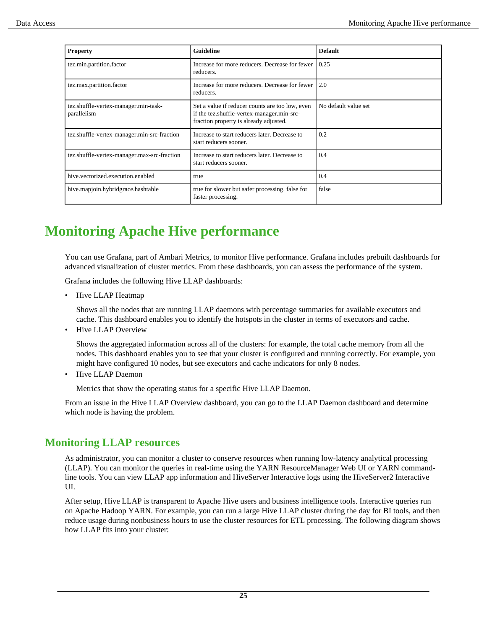| <b>Property</b>                                     | <b>Guideline</b>                                                                                                                        | <b>Default</b>       |
|-----------------------------------------------------|-----------------------------------------------------------------------------------------------------------------------------------------|----------------------|
| tez.min.partition.factor                            | Increase for more reducers. Decrease for fewer<br>reducers.                                                                             | 0.25                 |
| tez.max.partition.factor                            | Increase for more reducers. Decrease for fewer<br>reducers.                                                                             | 2.0                  |
| tez.shuffle-vertex-manager.min-task-<br>parallelism | Set a value if reducer counts are too low, even<br>if the tez.shuffle-vertex-manager.min-src-<br>fraction property is already adjusted. | No default value set |
| tez.shuffle-vertex-manager.min-src-fraction         | Increase to start reducers later. Decrease to<br>start reducers sooner.                                                                 | 0.2                  |
| tez.shuffle-vertex-manager.max-src-fraction         | Increase to start reducers later. Decrease to<br>start reducers sooner.                                                                 | 0.4                  |
| hive.vectorized.execution.enabled                   | true                                                                                                                                    | 0.4                  |
| hive.mapjoin.hybridgrace.hashtable                  | true for slower but safer processing. false for<br>faster processing.                                                                   | false                |

## <span id="page-24-0"></span>**Monitoring Apache Hive performance**

You can use Grafana, part of Ambari Metrics, to monitor Hive performance. Grafana includes prebuilt dashboards for advanced visualization of cluster metrics. From these dashboards, you can assess the performance of the system.

Grafana includes the following Hive LLAP dashboards:

• Hive LLAP Heatmap

Shows all the nodes that are running LLAP daemons with percentage summaries for available executors and cache. This dashboard enables you to identify the hotspots in the cluster in terms of executors and cache.

• Hive LLAP Overview

Shows the aggregated information across all of the clusters: for example, the total cache memory from all the nodes. This dashboard enables you to see that your cluster is configured and running correctly. For example, you might have configured 10 nodes, but see executors and cache indicators for only 8 nodes.

• Hive LLAP Daemon

Metrics that show the operating status for a specific Hive LLAP Daemon.

From an issue in the Hive LLAP Overview dashboard, you can go to the LLAP Daemon dashboard and determine which node is having the problem.

### <span id="page-24-1"></span>**Monitoring LLAP resources**

As administrator, you can monitor a cluster to conserve resources when running low-latency analytical processing (LLAP). You can monitor the queries in real-time using the YARN ResourceManager Web UI or YARN commandline tools. You can view LLAP app information and HiveServer Interactive logs using the HiveServer2 Interactive UI.

After setup, Hive LLAP is transparent to Apache Hive users and business intelligence tools. Interactive queries run on Apache Hadoop YARN. For example, you can run a large Hive LLAP cluster during the day for BI tools, and then reduce usage during nonbusiness hours to use the cluster resources for ETL processing. The following diagram shows how LLAP fits into your cluster: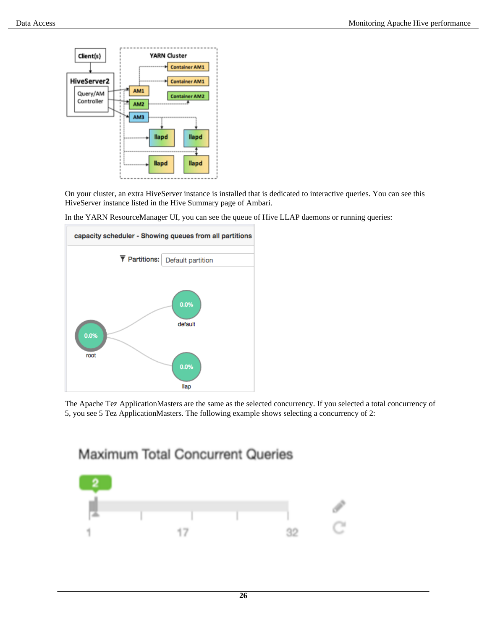

On your cluster, an extra HiveServer instance is installed that is dedicated to interactive queries. You can see this HiveServer instance listed in the Hive Summary page of Ambari.



In the YARN ResourceManager UI, you can see the queue of Hive LLAP daemons or running queries:

The Apache Tez ApplicationMasters are the same as the selected concurrency. If you selected a total concurrency of 5, you see 5 Tez ApplicationMasters. The following example shows selecting a concurrency of 2:



Maximum Total Concurrent Queries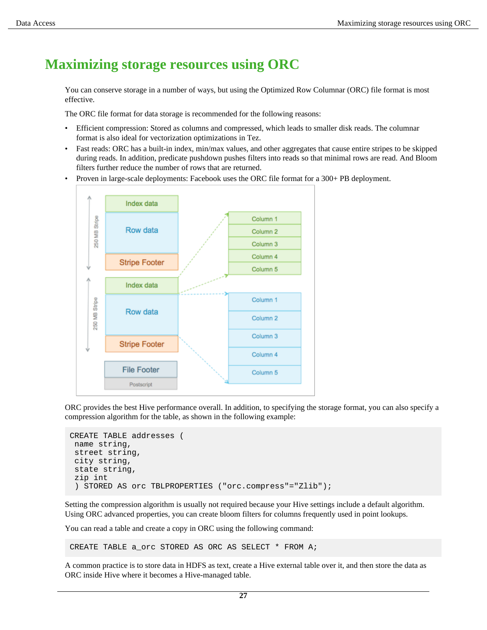## <span id="page-26-0"></span>**Maximizing storage resources using ORC**

You can conserve storage in a number of ways, but using the Optimized Row Columnar (ORC) file format is most effective.

The ORC file format for data storage is recommended for the following reasons:

- Efficient compression: Stored as columns and compressed, which leads to smaller disk reads. The columnar format is also ideal for vectorization optimizations in Tez.
- Fast reads: ORC has a built-in index, min/max values, and other aggregates that cause entire stripes to be skipped during reads. In addition, predicate pushdown pushes filters into reads so that minimal rows are read. And Bloom filters further reduce the number of rows that are returned.
- Proven in large-scale deployments: Facebook uses the ORC file format for a 300+ PB deployment.



ORC provides the best Hive performance overall. In addition, to specifying the storage format, you can also specify a compression algorithm for the table, as shown in the following example:

```
CREATE TABLE addresses (
 name string,
  street string,
  city string,
  state string,
  zip int
  ) STORED AS orc TBLPROPERTIES ("orc.compress"="Zlib");
```
Setting the compression algorithm is usually not required because your Hive settings include a default algorithm. Using ORC advanced properties, you can create bloom filters for columns frequently used in point lookups.

You can read a table and create a copy in ORC using the following command:

CREATE TABLE a\_orc STORED AS ORC AS SELECT \* FROM A;

A common practice is to store data in HDFS as text, create a Hive external table over it, and then store the data as ORC inside Hive where it becomes a Hive-managed table.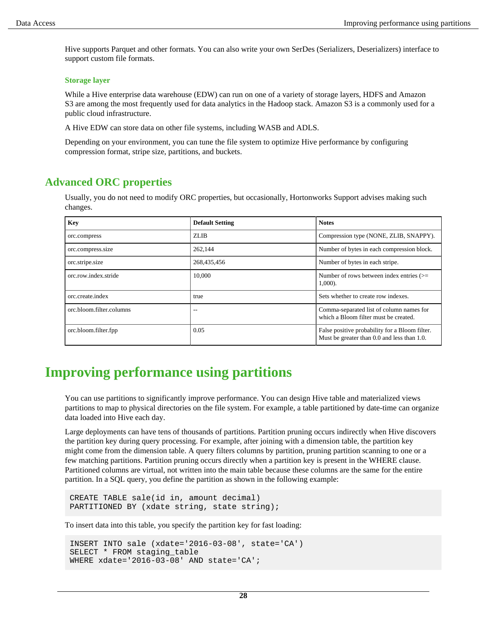Hive supports Parquet and other formats. You can also write your own SerDes (Serializers, Deserializers) interface to support custom file formats.

### **Storage layer**

While a Hive enterprise data warehouse (EDW) can run on one of a variety of storage layers, HDFS and Amazon S3 are among the most frequently used for data analytics in the Hadoop stack. Amazon S3 is a commonly used for a public cloud infrastructure.

A Hive EDW can store data on other file systems, including WASB and ADLS.

Depending on your environment, you can tune the file system to optimize Hive performance by configuring compression format, stripe size, partitions, and buckets.

### <span id="page-27-0"></span>**Advanced ORC properties**

Usually, you do not need to modify ORC properties, but occasionally, Hortonworks Support advises making such changes.

| <b>Key</b>               | <b>Default Setting</b> | <b>Notes</b>                                                                                  |
|--------------------------|------------------------|-----------------------------------------------------------------------------------------------|
| orc.compress             | ZLIB                   | Compression type (NONE, ZLIB, SNAPPY).                                                        |
| orc.compress.size        | 262,144                | Number of bytes in each compression block.                                                    |
| orc.stripe.size          | 268,435,456            | Number of bytes in each stripe.                                                               |
| orc.row.index.stride     | 10.000                 | Number of rows between index entries $(>=$<br>1,000).                                         |
| orc.create.index         | true                   | Sets whether to create row indexes.                                                           |
| orc.bloom.filter.columns | $-$                    | Comma-separated list of column names for<br>which a Bloom filter must be created.             |
| orc.bloom.filter.fpp     | 0.05                   | False positive probability for a Bloom filter.<br>Must be greater than 0.0 and less than 1.0. |

## <span id="page-27-1"></span>**Improving performance using partitions**

You can use partitions to significantly improve performance. You can design Hive table and materialized views partitions to map to physical directories on the file system. For example, a table partitioned by date-time can organize data loaded into Hive each day.

Large deployments can have tens of thousands of partitions. Partition pruning occurs indirectly when Hive discovers the partition key during query processing. For example, after joining with a dimension table, the partition key might come from the dimension table. A query filters columns by partition, pruning partition scanning to one or a few matching partitions. Partition pruning occurs directly when a partition key is present in the WHERE clause. Partitioned columns are virtual, not written into the main table because these columns are the same for the entire partition. In a SQL query, you define the partition as shown in the following example:

CREATE TABLE sale(id in, amount decimal) PARTITIONED BY (xdate string, state string);

To insert data into this table, you specify the partition key for fast loading:

```
INSERT INTO sale (xdate='2016-03-08', state='CA')
SELECT * FROM staging_table
WHERE xdate='2016-03-08' AND state='CA';
```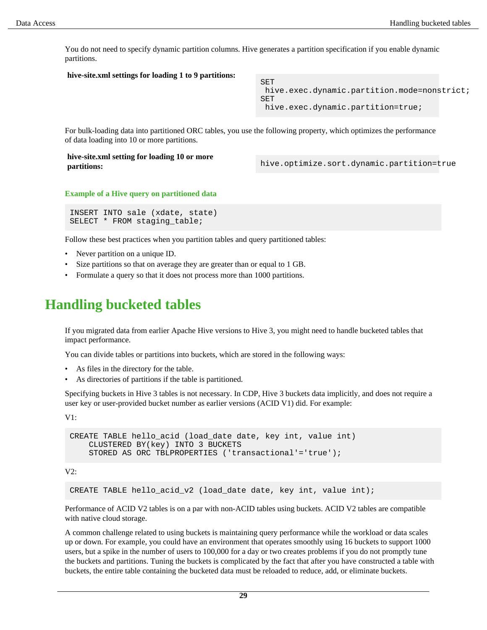You do not need to specify dynamic partition columns. Hive generates a partition specification if you enable dynamic partitions.

### **hive-site.xml settings for loading 1 to 9 partitions:**

SET hive.exec.dynamic.partition.mode=nonstrict; SET hive.exec.dynamic.partition=true;

For bulk-loading data into partitioned ORC tables, you use the following property, which optimizes the performance of data loading into 10 or more partitions.

**hive-site.xml setting for loading 10 or more**

**partitions:** and  $\overline{a}$  bive.optimize.sort.dynamic.partition=true

#### **Example of a Hive query on partitioned data**

```
INSERT INTO sale (xdate, state)
SELECT * FROM staging_table;
```
Follow these best practices when you partition tables and query partitioned tables:

- Never partition on a unique ID.
- Size partitions so that on average they are greater than or equal to 1 GB.
- Formulate a query so that it does not process more than 1000 partitions.

## <span id="page-28-0"></span>**Handling bucketed tables**

If you migrated data from earlier Apache Hive versions to Hive 3, you might need to handle bucketed tables that impact performance.

You can divide tables or partitions into buckets, which are stored in the following ways:

- As files in the directory for the table.
- As directories of partitions if the table is partitioned.

Specifying buckets in Hive 3 tables is not necessary. In CDP, Hive 3 buckets data implicitly, and does not require a user key or user-provided bucket number as earlier versions (ACID V1) did. For example:

V1:

```
CREATE TABLE hello_acid (load_date date, key int, value int)
     CLUSTERED BY(key) INTO 3 BUCKETS
     STORED AS ORC TBLPROPERTIES ('transactional'='true');
```
V2:

CREATE TABLE hello\_acid\_v2 (load\_date date, key int, value int);

Performance of ACID V2 tables is on a par with non-ACID tables using buckets. ACID V2 tables are compatible with native cloud storage.

A common challenge related to using buckets is maintaining query performance while the workload or data scales up or down. For example, you could have an environment that operates smoothly using 16 buckets to support 1000 users, but a spike in the number of users to 100,000 for a day or two creates problems if you do not promptly tune the buckets and partitions. Tuning the buckets is complicated by the fact that after you have constructed a table with buckets, the entire table containing the bucketed data must be reloaded to reduce, add, or eliminate buckets.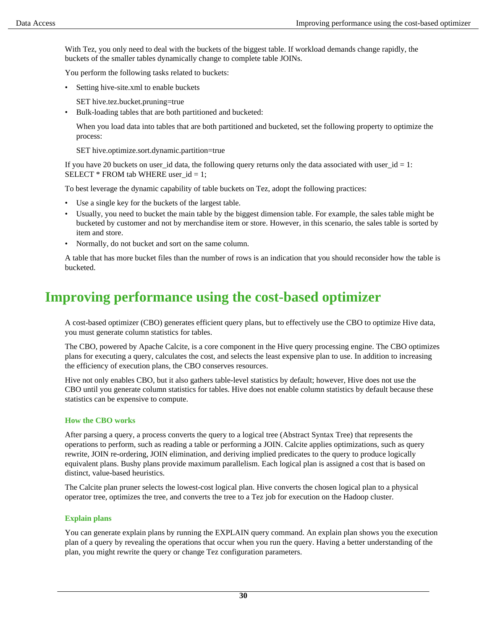With Tez, you only need to deal with the buckets of the biggest table. If workload demands change rapidly, the buckets of the smaller tables dynamically change to complete table JOINs.

You perform the following tasks related to buckets:

- Setting hive-site.xml to enable buckets
	- SET hive.tez.bucket.pruning=true
- Bulk-loading tables that are both partitioned and bucketed:

When you load data into tables that are both partitioned and bucketed, set the following property to optimize the process:

SET hive.optimize.sort.dynamic.partition=true

If you have 20 buckets on user\_id data, the following query returns only the data associated with user\_id = 1: SELECT \* FROM tab WHERE user\_id = 1;

To best leverage the dynamic capability of table buckets on Tez, adopt the following practices:

- Use a single key for the buckets of the largest table.
- Usually, you need to bucket the main table by the biggest dimension table. For example, the sales table might be bucketed by customer and not by merchandise item or store. However, in this scenario, the sales table is sorted by item and store.
- Normally, do not bucket and sort on the same column.

A table that has more bucket files than the number of rows is an indication that you should reconsider how the table is bucketed.

## <span id="page-29-0"></span>**Improving performance using the cost-based optimizer**

A cost-based optimizer (CBO) generates efficient query plans, but to effectively use the CBO to optimize Hive data, you must generate column statistics for tables.

The CBO, powered by Apache Calcite, is a core component in the Hive query processing engine. The CBO optimizes plans for executing a query, calculates the cost, and selects the least expensive plan to use. In addition to increasing the efficiency of execution plans, the CBO conserves resources.

Hive not only enables CBO, but it also gathers table-level statistics by default; however, Hive does not use the CBO until you generate column statistics for tables. Hive does not enable column statistics by default because these statistics can be expensive to compute.

### **How the CBO works**

After parsing a query, a process converts the query to a logical tree (Abstract Syntax Tree) that represents the operations to perform, such as reading a table or performing a JOIN. Calcite applies optimizations, such as query rewrite, JOIN re-ordering, JOIN elimination, and deriving implied predicates to the query to produce logically equivalent plans. Bushy plans provide maximum parallelism. Each logical plan is assigned a cost that is based on distinct, value-based heuristics.

The Calcite plan pruner selects the lowest-cost logical plan. Hive converts the chosen logical plan to a physical operator tree, optimizes the tree, and converts the tree to a Tez job for execution on the Hadoop cluster.

### **Explain plans**

You can generate explain plans by running the EXPLAIN query command. An explain plan shows you the execution plan of a query by revealing the operations that occur when you run the query. Having a better understanding of the plan, you might rewrite the query or change Tez configuration parameters.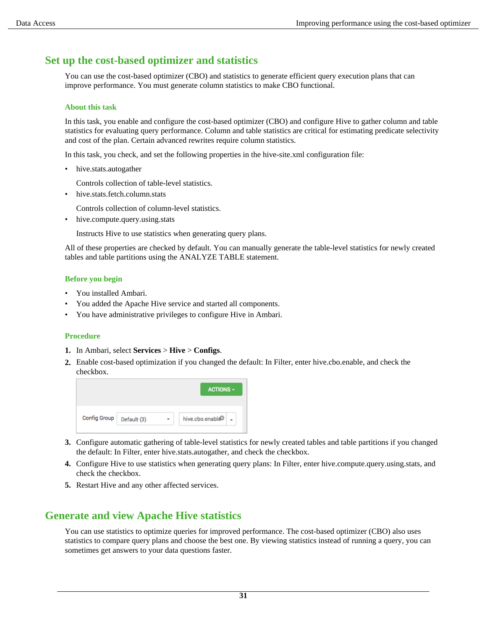## <span id="page-30-0"></span>**Set up the cost-based optimizer and statistics**

You can use the cost-based optimizer (CBO) and statistics to generate efficient query execution plans that can improve performance. You must generate column statistics to make CBO functional.

### **About this task**

In this task, you enable and configure the cost-based optimizer (CBO) and configure Hive to gather column and table statistics for evaluating query performance. Column and table statistics are critical for estimating predicate selectivity and cost of the plan. Certain advanced rewrites require column statistics.

In this task, you check, and set the following properties in the hive-site.xml configuration file:

hive.stats.autogather

Controls collection of table-level statistics.

• hive.stats.fetch.column.stats

Controls collection of column-level statistics.

• hive.compute.query.using.stats

Instructs Hive to use statistics when generating query plans.

All of these properties are checked by default. You can manually generate the table-level statistics for newly created tables and table partitions using the ANALYZE TABLE statement.

### **Before you begin**

- You installed Ambari.
- You added the Apache Hive service and started all components.
- You have administrative privileges to configure Hive in Ambari.

### **Procedure**

- **1.** In Ambari, select **Services** > **Hive** > **Configs**.
- **2.** Enable cost-based optimization if you changed the default: In Filter, enter hive.cbo.enable, and check the checkbox.

|                     |             | <b>ACTIONS -</b>             |
|---------------------|-------------|------------------------------|
|                     |             |                              |
| <b>Config Group</b> | Default (3) | hive.cbo.enable <sup>3</sup> |

- **3.** Configure automatic gathering of table-level statistics for newly created tables and table partitions if you changed the default: In Filter, enter hive.stats.autogather, and check the checkbox.
- **4.** Configure Hive to use statistics when generating query plans: In Filter, enter hive.compute.query.using.stats, and check the checkbox.
- **5.** Restart Hive and any other affected services.

## <span id="page-30-1"></span>**Generate and view Apache Hive statistics**

You can use statistics to optimize queries for improved performance. The cost-based optimizer (CBO) also uses statistics to compare query plans and choose the best one. By viewing statistics instead of running a query, you can sometimes get answers to your data questions faster.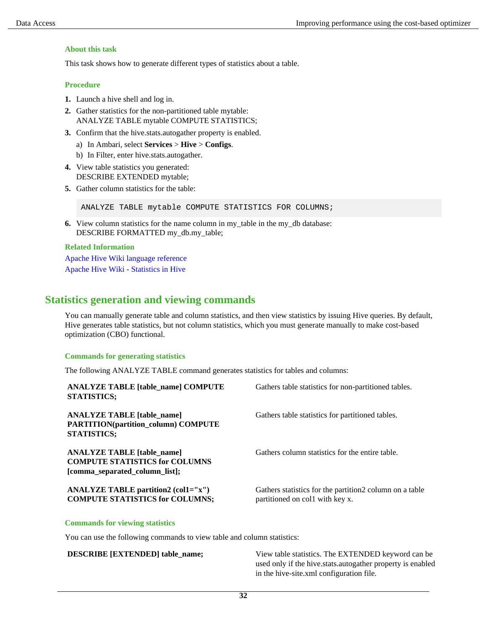### **About this task**

This task shows how to generate different types of statistics about a table.

### **Procedure**

- **1.** Launch a hive shell and log in.
- **2.** Gather statistics for the non-partitioned table mytable: ANALYZE TABLE mytable COMPUTE STATISTICS;
- **3.** Confirm that the hive.stats.autogather property is enabled.
	- a) In Ambari, select **Services** > **Hive** > **Configs**.
	- b) In Filter, enter hive.stats.autogather.
- **4.** View table statistics you generated: DESCRIBE EXTENDED mytable;
- **5.** Gather column statistics for the table:

ANALYZE TABLE mytable COMPUTE STATISTICS FOR COLUMNS;

**6.** View column statistics for the name column in my\_table in the my\_db database: DESCRIBE FORMATTED my\_db.my\_table;

### **Related Information**

[Apache Hive Wiki language reference](https://cwiki.apache.org/confluence/display/Hive/LanguageManual+DDL#LanguageManualDDL-Describe) [Apache Hive Wiki - Statistics in Hive](https://cwiki.apache.org/confluence/display/Hive/StatsDev#StatsDev-ExistingTables%E2%80%93ANALYZE)

### <span id="page-31-0"></span>**Statistics generation and viewing commands**

You can manually generate table and column statistics, and then view statistics by issuing Hive queries. By default, Hive generates table statistics, but not column statistics, which you must generate manually to make cost-based optimization (CBO) functional.

### **Commands for generating statistics**

The following ANALYZE TABLE command generates statistics for tables and columns:

| <b>ANALYZE TABLE [table name] COMPUTE</b><br><b>STATISTICS;</b>                                              | Gathers table statistics for non-partitioned tables.                                        |
|--------------------------------------------------------------------------------------------------------------|---------------------------------------------------------------------------------------------|
| <b>ANALYZE TABLE</b> [table name]<br><b>PARTITION(partition_column) COMPUTE</b><br><b>STATISTICS;</b>        | Gathers table statistics for partitioned tables.                                            |
| <b>ANALYZE TABLE</b> [table name]<br><b>COMPUTE STATISTICS for COLUMNS</b><br>[comma_separated_column_list]; | Gathers column statistics for the entire table.                                             |
| <b>ANALYZE TABLE partition2 (col1="x")</b><br><b>COMPUTE STATISTICS for COLUMNS;</b>                         | Gathers statistics for the partition 2 column on a table<br>partitioned on coll with key x. |

## **Commands for viewing statistics**

You can use the following commands to view table and column statistics:

**DESCRIBE [EXTENDED] table\_name;** View table statistics. The EXTENDED keyword can be used only if the hive.stats.autogather property is enabled in the hive-site.xml configuration file.